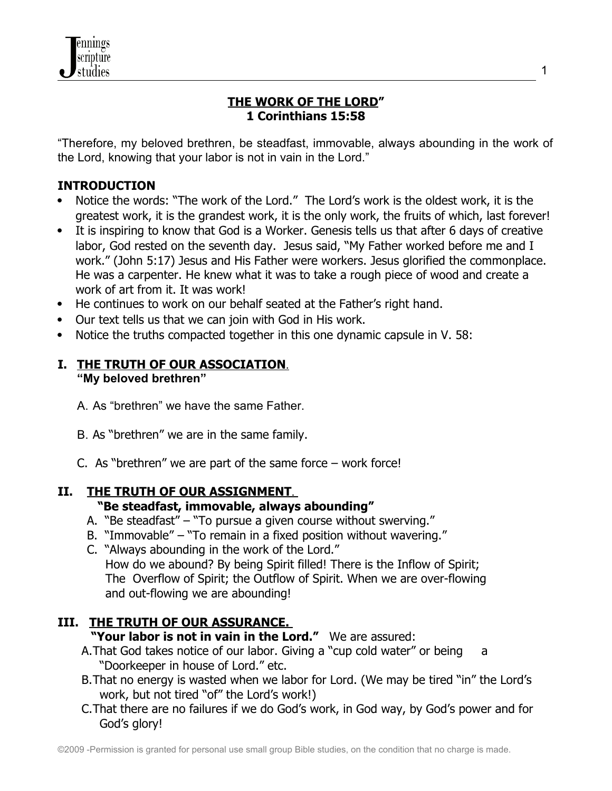#### **THE WORK OF THE LORD" 1 Corinthians 15:58**

"Therefore, my beloved brethren, be steadfast, immovable, always abounding in the work of the Lord, knowing that your labor is not in vain in the Lord."

# **INTRODUCTION**

- Notice the words: "The work of the Lord." The Lord's work is the oldest work, it is the greatest work, it is the grandest work, it is the only work, the fruits of which, last forever!
- It is inspiring to know that God is a Worker. Genesis tells us that after 6 days of creative labor, God rested on the seventh day. Jesus said, "My Father worked before me and I work." (John 5:17) Jesus and His Father were workers. Jesus glorified the commonplace. He was a carpenter. He knew what it was to take a rough piece of wood and create a work of art from it. It was work!
- He continues to work on our behalf seated at the Father's right hand.
- Our text tells us that we can join with God in His work.
- Notice the truths compacted together in this one dynamic capsule in V. 58:

### **I. THE TRUTH OF OUR ASSOCIATION. "My beloved brethren"**

A. As "brethren" we have the same Father.

- B. As "brethren" we are in the same family.
- C. As "brethren" we are part of the same force work force!

## **II. THE TRUTH OF OUR ASSIGNMENT.**

## **"Be steadfast, immovable, always abounding"**

- A. "Be steadfast" "To pursue a given course without swerving."
- B. "Immovable" "To remain in a fixed position without wavering."
- C. "Always abounding in the work of the Lord." How do we abound? By being Spirit filled! There is the Inflow of Spirit; The Overflow of Spirit; the Outflow of Spirit. When we are over-flowing and out-flowing we are abounding!

# **III. THE TRUTH OF OUR ASSURANCE.**

### **"Your labor is not in vain in the Lord."** We are assured:

- A. That God takes notice of our labor. Giving a "cup cold water" or being a "Doorkeeper in house of Lord." etc.
- B.That no energy is wasted when we labor for Lord. (We may be tired "in" the Lord's work, but not tired "of" the Lord's work!)
- C.That there are no failures if we do God's work, in God way, by God's power and for God's glory!